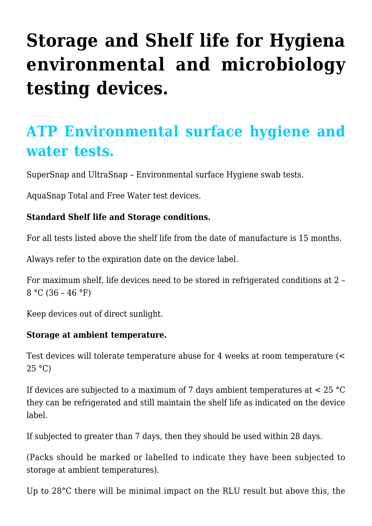# **[Storage and Shelf life for Hygiena](https://help.hygiena.com/kb-doc/storage-and-shelf-life-for-hygiena-environmental-and-microbiology-testing-devices/) [environmental and microbiology](https://help.hygiena.com/kb-doc/storage-and-shelf-life-for-hygiena-environmental-and-microbiology-testing-devices/) [testing devices.](https://help.hygiena.com/kb-doc/storage-and-shelf-life-for-hygiena-environmental-and-microbiology-testing-devices/)**

# **ATP Environmental surface hygiene and water tests.**

SuperSnap and UltraSnap – Environmental surface Hygiene swab tests.

AquaSnap Total and Free Water test devices.

#### **Standard Shelf life and Storage conditions.**

For all tests listed above the shelf life from the date of manufacture is 15 months.

Always refer to the expiration date on the device label.

For maximum shelf, life devices need to be stored in refrigerated conditions at 2 –  $8 °C (36 - 46 °F)$ 

Keep devices out of direct sunlight.

#### **Storage at ambient temperature.**

Test devices will tolerate temperature abuse for 4 weeks at room temperature (< 25 °C)

If devices are subjected to a maximum of 7 days ambient temperatures at < 25 °C they can be refrigerated and still maintain the shelf life as indicated on the device label.

If subjected to greater than 7 days, then they should be used within 28 days.

(Packs should be marked or labelled to indicate they have been subjected to storage at ambient temperatures).

Up to 28°C there will be minimal impact on the RLU result but above this, the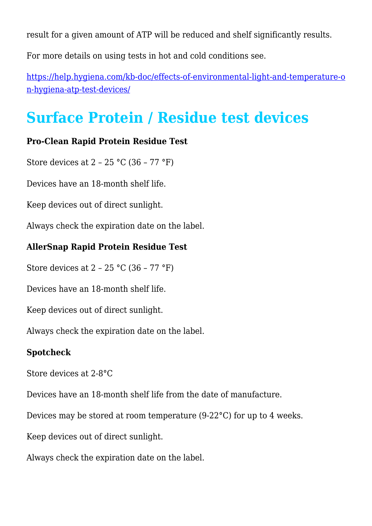result for a given amount of ATP will be reduced and shelf significantly results.

For more details on using tests in hot and cold conditions see.

[https://help.hygiena.com/kb-doc/effects-of-environmental-light-and-temperature-o](https://help.hygiena.com/kb-doc/effects-of-environmental-light-and-temperature-on-hygiena-atp-test-devices/) [n-hygiena-atp-test-devices/](https://help.hygiena.com/kb-doc/effects-of-environmental-light-and-temperature-on-hygiena-atp-test-devices/)

# **Surface Protein / Residue test devices**

#### **Pro-Clean Rapid Protein Residue Test**

Store devices at 2 – 25 °C (36 – 77 °F)

Devices have an 18-month shelf life.

Keep devices out of direct sunlight.

Always check the expiration date on the label.

#### **AllerSnap Rapid Protein Residue Test**

Store devices at 2 – 25 °C (36 – 77 °F)

Devices have an 18-month shelf life.

Keep devices out of direct sunlight.

Always check the expiration date on the label.

#### **Spotcheck**

Store devices at 2-8°C

Devices have an 18-month shelf life from the date of manufacture.

Devices may be stored at room temperature (9-22°C) for up to 4 weeks.

Keep devices out of direct sunlight.

Always check the expiration date on the label.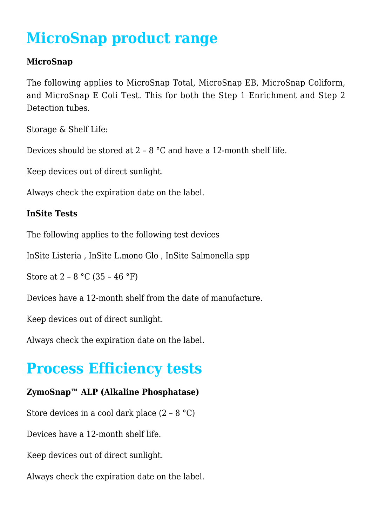# **MicroSnap product range**

#### **MicroSnap**

The following applies to MicroSnap Total, MicroSnap EB, MicroSnap Coliform, and MicroSnap E Coli Test. This for both the Step 1 Enrichment and Step 2 Detection tubes.

Storage & Shelf Life:

Devices should be stored at 2 – 8 °C and have a 12-month shelf life.

Keep devices out of direct sunlight.

Always check the expiration date on the label.

#### **InSite Tests**

The following applies to the following test devices

InSite Listeria , InSite L.mono Glo , InSite Salmonella spp

Store at  $2 - 8$  °C (35 – 46 °F)

Devices have a 12-month shelf from the date of manufacture.

Keep devices out of direct sunlight.

Always check the expiration date on the label.

## **Process Efficiency tests**

### **ZymoSnap™ ALP (Alkaline Phosphatase)**

Store devices in a cool dark place (2 – 8 °C)

Devices have a 12-month shelf life.

Keep devices out of direct sunlight.

Always check the expiration date on the label.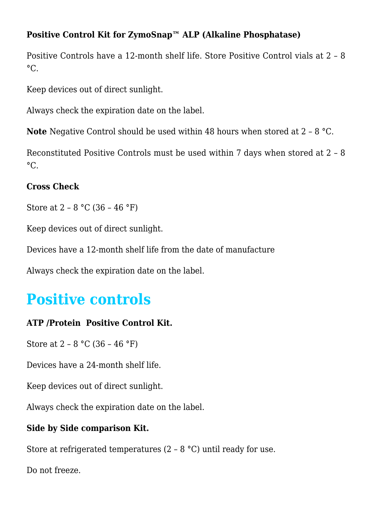### **Positive Control Kit for ZymoSnap™ ALP (Alkaline Phosphatase)**

Positive Controls have a 12-month shelf life. Store Positive Control vials at 2 – 8  $^{\circ}C$ .

Keep devices out of direct sunlight.

Always check the expiration date on the label.

**Note** Negative Control should be used within 48 hours when stored at 2 – 8 °C.

Reconstituted Positive Controls must be used within 7 days when stored at 2 – 8  $\circ$ C.

#### **Cross Check**

Store at  $2 - 8$  °C (36 – 46 °F)

Keep devices out of direct sunlight.

Devices have a 12-month shelf life from the date of manufacture

Always check the expiration date on the label.

### **Positive controls**

#### **ATP /Protein Positive Control Kit.**

Store at 2 – 8 °C (36 – 46 °F)

Devices have a 24-month shelf life.

Keep devices out of direct sunlight.

Always check the expiration date on the label.

#### **Side by Side comparison Kit.**

Store at refrigerated temperatures (2 – 8 °C) until ready for use.

Do not freeze.